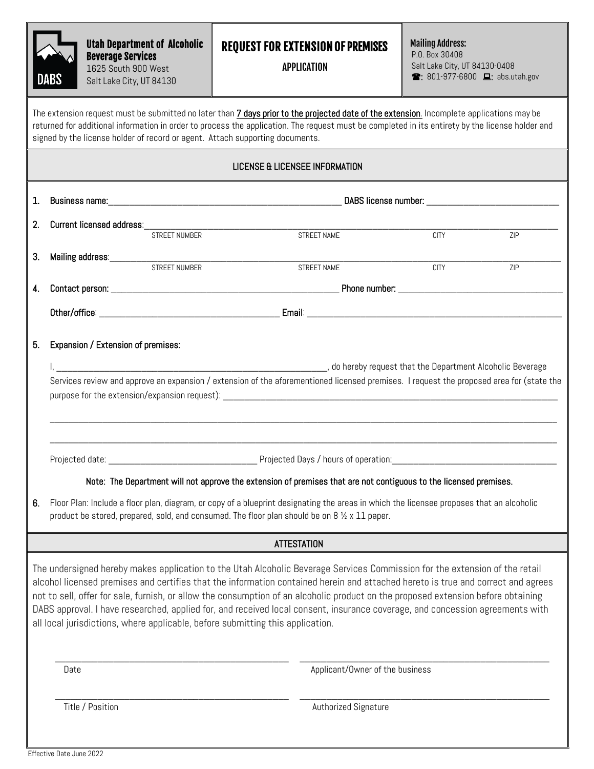|                                                                                                                                                                                                                                                                                                                          | <b>DABS</b>                                                                                                                                                                                                                                | <b>Utah Department of Alcoholic</b><br><b>Beverage Services</b><br>1625 South 900 West<br>Salt Lake City, UT 84130 |               | <b>REQUEST FOR EXTENSION OF PREMISES</b><br><b>APPLICATION</b>                                                                                                                                                                                                                                                                                                                                                                                                                                                                                                                                                          |                                 | <b>Mailing Address:</b><br>P.O. Box 30408<br>Salt Lake City, UT 84130-0408<br><b>■: 801-977-6800 ■: abs.utah.gov</b> |     |  |
|--------------------------------------------------------------------------------------------------------------------------------------------------------------------------------------------------------------------------------------------------------------------------------------------------------------------------|--------------------------------------------------------------------------------------------------------------------------------------------------------------------------------------------------------------------------------------------|--------------------------------------------------------------------------------------------------------------------|---------------|-------------------------------------------------------------------------------------------------------------------------------------------------------------------------------------------------------------------------------------------------------------------------------------------------------------------------------------------------------------------------------------------------------------------------------------------------------------------------------------------------------------------------------------------------------------------------------------------------------------------------|---------------------------------|----------------------------------------------------------------------------------------------------------------------|-----|--|
|                                                                                                                                                                                                                                                                                                                          |                                                                                                                                                                                                                                            |                                                                                                                    |               | The extension request must be submitted no later than <b>7 days prior to the projected date of the extension</b> . Incomplete applications may be<br>returned for additional information in order to process the application. The request must be completed in its entirety by the license holder and<br>signed by the license holder of record or agent. Attach supporting documents.                                                                                                                                                                                                                                  |                                 |                                                                                                                      |     |  |
| LICENSE & LICENSEE INFORMATION                                                                                                                                                                                                                                                                                           |                                                                                                                                                                                                                                            |                                                                                                                    |               |                                                                                                                                                                                                                                                                                                                                                                                                                                                                                                                                                                                                                         |                                 |                                                                                                                      |     |  |
| 1.                                                                                                                                                                                                                                                                                                                       |                                                                                                                                                                                                                                            |                                                                                                                    |               |                                                                                                                                                                                                                                                                                                                                                                                                                                                                                                                                                                                                                         |                                 |                                                                                                                      |     |  |
| 2.                                                                                                                                                                                                                                                                                                                       |                                                                                                                                                                                                                                            | Current licensed address:                                                                                          |               |                                                                                                                                                                                                                                                                                                                                                                                                                                                                                                                                                                                                                         |                                 |                                                                                                                      |     |  |
|                                                                                                                                                                                                                                                                                                                          |                                                                                                                                                                                                                                            |                                                                                                                    | STREET NUMBER |                                                                                                                                                                                                                                                                                                                                                                                                                                                                                                                                                                                                                         | STREET NAME                     | <b>CITY</b>                                                                                                          | ZIP |  |
| 3.                                                                                                                                                                                                                                                                                                                       | STREET NUMBER                                                                                                                                                                                                                              |                                                                                                                    |               | <b>STREET NAME</b>                                                                                                                                                                                                                                                                                                                                                                                                                                                                                                                                                                                                      | <b>CITY</b>                     | ZIP                                                                                                                  |     |  |
| 4.                                                                                                                                                                                                                                                                                                                       |                                                                                                                                                                                                                                            |                                                                                                                    |               |                                                                                                                                                                                                                                                                                                                                                                                                                                                                                                                                                                                                                         |                                 |                                                                                                                      |     |  |
|                                                                                                                                                                                                                                                                                                                          |                                                                                                                                                                                                                                            |                                                                                                                    |               |                                                                                                                                                                                                                                                                                                                                                                                                                                                                                                                                                                                                                         |                                 |                                                                                                                      |     |  |
| Services review and approve an expansion / extension of the aforementioned licensed premises. I request the proposed area for (state the<br>Projected Days / hours of operation:<br>Projected date:<br>Note: The Department will not approve the extension of premises that are not contiguous to the licensed premises. |                                                                                                                                                                                                                                            |                                                                                                                    |               |                                                                                                                                                                                                                                                                                                                                                                                                                                                                                                                                                                                                                         |                                 |                                                                                                                      |     |  |
| 6.                                                                                                                                                                                                                                                                                                                       | Floor Plan: Include a floor plan, diagram, or copy of a blueprint designating the areas in which the licensee proposes that an alcoholic<br>product be stored, prepared, sold, and consumed. The floor plan should be on 8 1/2 x 11 paper. |                                                                                                                    |               |                                                                                                                                                                                                                                                                                                                                                                                                                                                                                                                                                                                                                         |                                 |                                                                                                                      |     |  |
| <b>ATTESTATION</b>                                                                                                                                                                                                                                                                                                       |                                                                                                                                                                                                                                            |                                                                                                                    |               |                                                                                                                                                                                                                                                                                                                                                                                                                                                                                                                                                                                                                         |                                 |                                                                                                                      |     |  |
|                                                                                                                                                                                                                                                                                                                          |                                                                                                                                                                                                                                            |                                                                                                                    |               | The undersigned hereby makes application to the Utah Alcoholic Beverage Services Commission for the extension of the retail<br>alcohol licensed premises and certifies that the information contained herein and attached hereto is true and correct and agrees<br>not to sell, offer for sale, furnish, or allow the consumption of an alcoholic product on the proposed extension before obtaining<br>DABS approval. I have researched, applied for, and received local consent, insurance coverage, and concession agreements with<br>all local jurisdictions, where applicable, before submitting this application. |                                 |                                                                                                                      |     |  |
|                                                                                                                                                                                                                                                                                                                          | Date                                                                                                                                                                                                                                       |                                                                                                                    |               |                                                                                                                                                                                                                                                                                                                                                                                                                                                                                                                                                                                                                         | Applicant/Owner of the business |                                                                                                                      |     |  |
| Title / Position<br>Authorized Signature                                                                                                                                                                                                                                                                                 |                                                                                                                                                                                                                                            |                                                                                                                    |               |                                                                                                                                                                                                                                                                                                                                                                                                                                                                                                                                                                                                                         |                                 |                                                                                                                      |     |  |